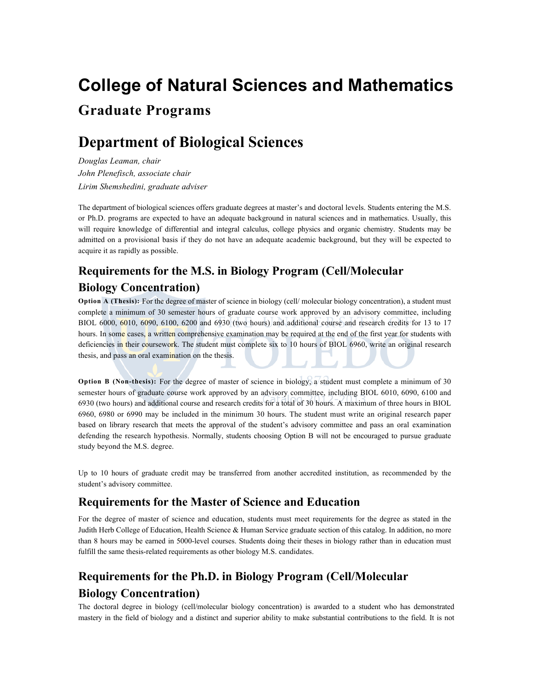# **College of Natural Sciences and Mathematics Graduate Programs**

# **Department of Biological Sciences**

*Douglas Leaman, chair John Plenefisch, associate chair Lirim Shemshedini, graduate adviser*

The department of biological sciences offers graduate degrees at master's and doctoral levels. Students entering the M.S. or Ph.D. programs are expected to have an adequate background in natural sciences and in mathematics. Usually, this will require knowledge of differential and integral calculus, college physics and organic chemistry. Students may be admitted on a provisional basis if they do not have an adequate academic background, but they will be expected to acquire it as rapidly as possible.

# **Requirements for the M.S. in Biology Program (Cell/Molecular Biology Concentration)**

**Option A (Thesis):** For the degree of master of science in biology (cell/ molecular biology concentration), a student must complete a minimum of 30 semester hours of graduate course work approved by an advisory committee, including BIOL 6000, 6010, 6090, 6100, 6200 and 6930 (two hours) and additional course and research credits for 13 to 17 hours. In some cases, a written comprehensive examination may be required at the end of the first year for students with deficiencies in their coursework. The student must complete six to 10 hours of BIOL 6960, write an original research thesis, and pass an oral examination on the thesis.

**Option B (Non-thesis):** For the degree of master of science in biology, a student must complete a minimum of 30 semester hours of graduate course work approved by an advisory committee, including BIOL 6010, 6090, 6100 and 6930 (two hours) and additional course and research credits for a total of 30 hours. A maximum of three hours in BIOL 6960, 6980 or 6990 may be included in the minimum 30 hours. The student must write an original research paper based on library research that meets the approval of the student's advisory committee and pass an oral examination defending the research hypothesis. Normally, students choosing Option B will not be encouraged to pursue graduate study beyond the M.S. degree.

Up to 10 hours of graduate credit may be transferred from another accredited institution, as recommended by the student's advisory committee.

# **Requirements for the Master of Science and Education**

For the degree of master of science and education, students must meet requirements for the degree as stated in the Judith Herb College of Education, Health Science & Human Service graduate section of this catalog. In addition, no more than 8 hours may be earned in 5000-level courses. Students doing their theses in biology rather than in education must fulfill the same thesis-related requirements as other biology M.S. candidates.

# **Requirements for the Ph.D. in Biology Program (Cell/Molecular Biology Concentration)**

The doctoral degree in biology (cell/molecular biology concentration) is awarded to a student who has demonstrated mastery in the field of biology and a distinct and superior ability to make substantial contributions to the field. It is not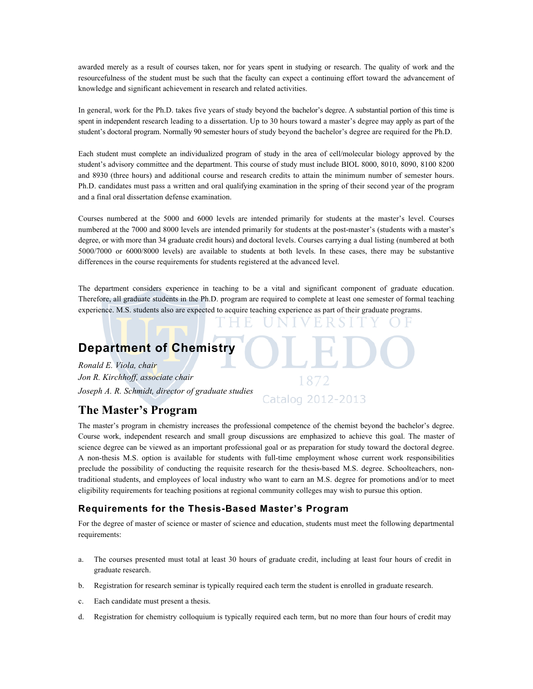awarded merely as a result of courses taken, nor for years spent in studying or research. The quality of work and the resourcefulness of the student must be such that the faculty can expect a continuing effort toward the advancement of knowledge and significant achievement in research and related activities.

In general, work for the Ph.D. takes five years of study beyond the bachelor's degree. A substantial portion of this time is spent in independent research leading to a dissertation. Up to 30 hours toward a master's degree may apply as part of the student's doctoral program. Normally 90 semester hours of study beyond the bachelor's degree are required for the Ph.D.

Each student must complete an individualized program of study in the area of cell/molecular biology approved by the student's advisory committee and the department. This course of study must include BIOL 8000, 8010, 8090, 8100 8200 and 8930 (three hours) and additional course and research credits to attain the minimum number of semester hours. Ph.D. candidates must pass a written and oral qualifying examination in the spring of their second year of the program and a final oral dissertation defense examination.

Courses numbered at the 5000 and 6000 levels are intended primarily for students at the master's level. Courses numbered at the 7000 and 8000 levels are intended primarily for students at the post-master's (students with a master's degree, or with more than 34 graduate credit hours) and doctoral levels. Courses carrying a dual listing (numbered at both 5000/7000 or 6000/8000 levels) are available to students at both levels. In these cases, there may be substantive differences in the course requirements for students registered at the advanced level.

The department considers experience in teaching to be a vital and significant component of graduate education. Therefore, all graduate students in the Ph.D. program are required to complete at least one semester of formal teaching experience. M.S. students also are expected to acquire teaching experience as part of their graduate programs.

# **Department of Chemistry**

*Ronald E. Viola, chair Jon R. Kirchhoff, associate chair Joseph A. R. Schmidt, director of graduate studies*

# **The Master's Program**

The master's program in chemistry increases the professional competence of the chemist beyond the bachelor's degree. Course work, independent research and small group discussions are emphasized to achieve this goal. The master of science degree can be viewed as an important professional goal or as preparation for study toward the doctoral degree. A non-thesis M.S. option is available for students with full-time employment whose current work responsibilities preclude the possibility of conducting the requisite research for the thesis-based M.S. degree. Schoolteachers, nontraditional students, and employees of local industry who want to earn an M.S. degree for promotions and/or to meet eligibility requirements for teaching positions at regional community colleges may wish to pursue this option.

Catalog 2012-2013

# **Requirements for the Thesis-Based Master's Program**

For the degree of master of science or master of science and education, students must meet the following departmental requirements:

- a. The courses presented must total at least 30 hours of graduate credit, including at least four hours of credit in graduate research.
- b. Registration for research seminar is typically required each term the student is enrolled in graduate research.
- c. Each candidate must present a thesis.
- d. Registration for chemistry colloquium is typically required each term, but no more than four hours of credit may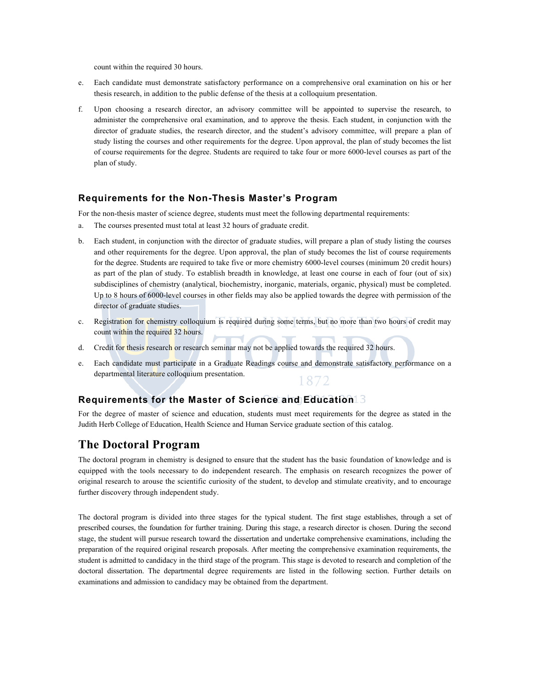count within the required 30 hours.

- e. Each candidate must demonstrate satisfactory performance on a comprehensive oral examination on his or her thesis research, in addition to the public defense of the thesis at a colloquium presentation.
- f. Upon choosing a research director, an advisory committee will be appointed to supervise the research, to administer the comprehensive oral examination, and to approve the thesis. Each student, in conjunction with the director of graduate studies, the research director, and the student's advisory committee, will prepare a plan of study listing the courses and other requirements for the degree. Upon approval, the plan of study becomes the list of course requirements for the degree. Students are required to take four or more 6000-level courses as part of the plan of study.

### **Requirements for the Non-Thesis Master's Program**

For the non-thesis master of science degree, students must meet the following departmental requirements:

- a. The courses presented must total at least 32 hours of graduate credit.
- b. Each student, in conjunction with the director of graduate studies, will prepare a plan of study listing the courses and other requirements for the degree. Upon approval, the plan of study becomes the list of course requirements for the degree. Students are required to take five or more chemistry 6000-level courses (minimum 20 credit hours) as part of the plan of study. To establish breadth in knowledge, at least one course in each of four (out of six) subdisciplines of chemistry (analytical, biochemistry, inorganic, materials, organic, physical) must be completed. Up to 8 hours of 6000-level courses in other fields may also be applied towards the degree with permission of the director of graduate studies.
- c. Registration for chemistry colloquium is required during some terms, but no more than two hours of credit may count within the required 32 hours.
- d. Credit for thesis research or research seminar may not be applied towards the required 32 hours.
- e. Each candidate must participate in a Graduate Readings course and demonstrate satisfactory performance on a departmental literature colloquium presentation. 1872

#### **Requirements for the Master of Science and Education**

For the degree of master of science and education, students must meet requirements for the degree as stated in the Judith Herb College of Education, Health Science and Human Service graduate section of this catalog.

# **The Doctoral Program**

The doctoral program in chemistry is designed to ensure that the student has the basic foundation of knowledge and is equipped with the tools necessary to do independent research. The emphasis on research recognizes the power of original research to arouse the scientific curiosity of the student, to develop and stimulate creativity, and to encourage further discovery through independent study.

The doctoral program is divided into three stages for the typical student. The first stage establishes, through a set of prescribed courses, the foundation for further training. During this stage, a research director is chosen. During the second stage, the student will pursue research toward the dissertation and undertake comprehensive examinations, including the preparation of the required original research proposals. After meeting the comprehensive examination requirements, the student is admitted to candidacy in the third stage of the program. This stage is devoted to research and completion of the doctoral dissertation. The departmental degree requirements are listed in the following section. Further details on examinations and admission to candidacy may be obtained from the department.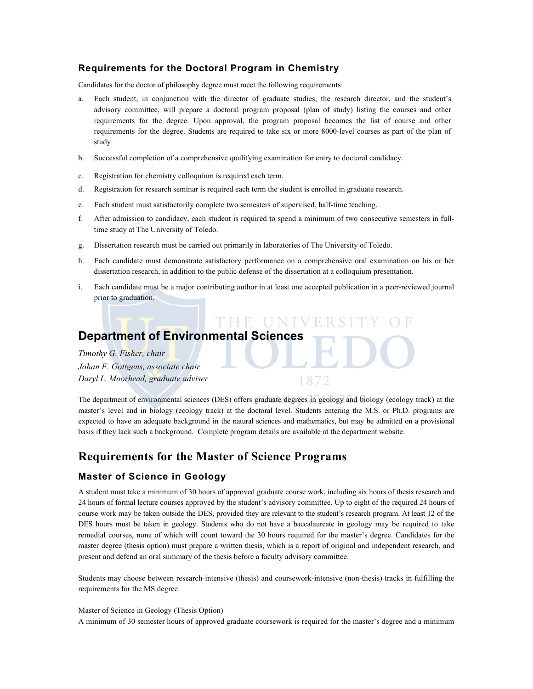# **Requirements for the Doctoral Program in Chemistry**

Candidates for the doctor of philosophy degree must meet the following requirements:

- a. Each student, in conjunction with the director of graduate studies, the research director, and the student's advisory committee, will prepare a doctoral program proposal (plan of study) listing the courses and other requirements for the degree. Upon approval, the program proposal becomes the list of course and other requirements for the degree. Students are required to take six or more 8000-level courses as part of the plan of study.
- b. Successful completion of a comprehensive qualifying examination for entry to doctoral candidacy.
- c. Registration for chemistry colloquium is required each term.
- d. Registration for research seminar is required each term the student is enrolled in graduate research.
- e. Each student must satisfactorily complete two semesters of supervised, half-time teaching.
- f. After admission to candidacy, each student is required to spend a minimum of two consecutive semesters in fulltime study at The University of Toledo.
- g. Dissertation research must be carried out primarily in laboratories of The University of Toledo.
- h. Each candidate must demonstrate satisfactory performance on a comprehensive oral examination on his or her dissertation research, in addition to the public defense of the dissertation at a colloquium presentation.
- i. Each candidate must be a major contributing author in at least one accepted publication in a peer-reviewed journal prior to graduation.

HE UNIV

# **Department of Environmental Sciences**

*Timothy G. Fisher, chair Johan F. Gottgens, associate chair Daryl L. Moorhead, graduate adviser*

The department of environmental sciences (DES) offers graduate degrees in geology and biology (ecology track) at the master's level and in biology (ecology track) at the doctoral level. Students entering the M.S. or Ph.D. programs are expected to have an adequate background in the natural sciences and mathematics, but may be admitted on a provisional basis if they lack such a background. Complete program details are available at the department website.

# **Requirements for the Master of Science Programs**

#### **Master of Science in Geology**

A student must take a minimum of 30 hours of approved graduate course work, including six hours of thesis research and 24 hours of formal lecture courses approved by the student's advisory committee. Up to eight of the required 24 hours of course work may be taken outside the DES, provided they are relevant to the student's research program. At least 12 of the DES hours must be taken in geology. Students who do not have a baccalaureate in geology may be required to take remedial courses, none of which will count toward the 30 hours required for the master's degree. Candidates for the master degree (thesis option) must prepare a written thesis, which is a report of original and independent research, and present and defend an oral summary of the thesis before a faculty advisory committee.

Students may choose between research-intensive (thesis) and coursework-intensive (non-thesis) tracks in fulfilling the requirements for the MS degree.

#### Master of Science in Geology (Thesis Option)

A minimum of 30 semester hours of approved graduate coursework is required for the master's degree and a minimum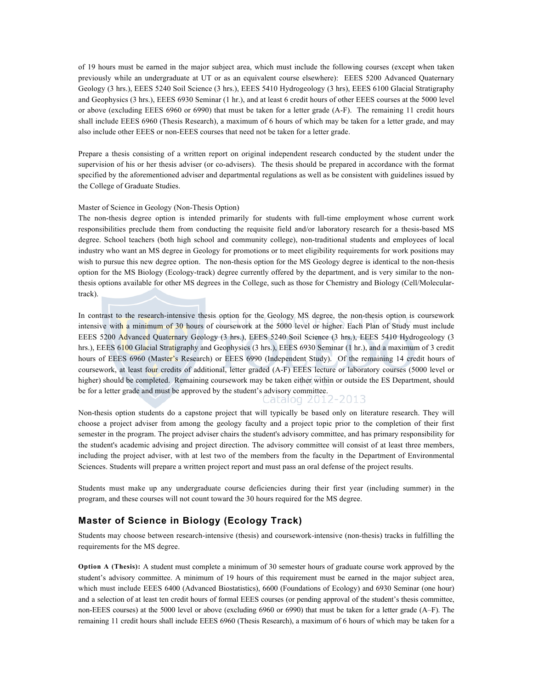of 19 hours must be earned in the major subject area, which must include the following courses (except when taken previously while an undergraduate at UT or as an equivalent course elsewhere): EEES 5200 Advanced Quaternary Geology (3 hrs.), EEES 5240 Soil Science (3 hrs.), EEES 5410 Hydrogeology (3 hrs), EEES 6100 Glacial Stratigraphy and Geophysics (3 hrs.), EEES 6930 Seminar (1 hr.), and at least 6 credit hours of other EEES courses at the 5000 level or above (excluding EEES 6960 or 6990) that must be taken for a letter grade (A-F). The remaining 11 credit hours shall include EEES 6960 (Thesis Research), a maximum of 6 hours of which may be taken for a letter grade, and may also include other EEES or non-EEES courses that need not be taken for a letter grade.

Prepare a thesis consisting of a written report on original independent research conducted by the student under the supervision of his or her thesis adviser (or co-advisers). The thesis should be prepared in accordance with the format specified by the aforementioned adviser and departmental regulations as well as be consistent with guidelines issued by the College of Graduate Studies.

#### Master of Science in Geology (Non-Thesis Option)

The non-thesis degree option is intended primarily for students with full-time employment whose current work responsibilities preclude them from conducting the requisite field and/or laboratory research for a thesis-based MS degree. School teachers (both high school and community college), non-traditional students and employees of local industry who want an MS degree in Geology for promotions or to meet eligibility requirements for work positions may wish to pursue this new degree option. The non-thesis option for the MS Geology degree is identical to the non-thesis option for the MS Biology (Ecology-track) degree currently offered by the department, and is very similar to the nonthesis options available for other MS degrees in the College, such as those for Chemistry and Biology (Cell/Moleculartrack).

In contrast to the research-intensive thesis option for the Geology MS degree, the non-thesis option is coursework intensive with a minimum of 30 hours of coursework at the 5000 level or higher. Each Plan of Study must include EEES 5200 Advanced Quaternary Geology (3 hrs.), EEES 5240 Soil Science (3 hrs.), EEES 5410 Hydrogeology (3 hrs.), EEES 6100 Glacial Stratigraphy and Geophysics (3 hrs.), EEES 6930 Seminar (1 hr.), and a maximum of 3 credit hours of EEES 6960 (Master's Research) or EEES 6990 (Independent Study). Of the remaining 14 credit hours of coursework, at least four credits of additional, letter graded (A-F) EEES lecture or laboratory courses (5000 level or higher) should be completed. Remaining coursework may be taken either within or outside the ES Department, should be for a letter grade and must be approved by the student's advisory committee.<br>Calculog 2012-2013

Non-thesis option students do a capstone project that will typically be based only on literature research. They will choose a project adviser from among the geology faculty and a project topic prior to the completion of their first semester in the program. The project adviser chairs the student's advisory committee, and has primary responsibility for the student's academic advising and project direction. The advisory committee will consist of at least three members, including the project adviser, with at lest two of the members from the faculty in the Department of Environmental Sciences. Students will prepare a written project report and must pass an oral defense of the project results.

Students must make up any undergraduate course deficiencies during their first year (including summer) in the program, and these courses will not count toward the 30 hours required for the MS degree.

### **Master of Science in Biology (Ecology Track)**

Students may choose between research-intensive (thesis) and coursework-intensive (non-thesis) tracks in fulfilling the requirements for the MS degree.

**Option A (Thesis):** A student must complete a minimum of 30 semester hours of graduate course work approved by the student's advisory committee. A minimum of 19 hours of this requirement must be earned in the major subject area, which must include EEES 6400 (Advanced Biostatistics), 6600 (Foundations of Ecology) and 6930 Seminar (one hour) and a selection of at least ten credit hours of formal EEES courses (or pending approval of the student's thesis committee, non-EEES courses) at the 5000 level or above (excluding 6960 or 6990) that must be taken for a letter grade (A–F). The remaining 11 credit hours shall include EEES 6960 (Thesis Research), a maximum of 6 hours of which may be taken for a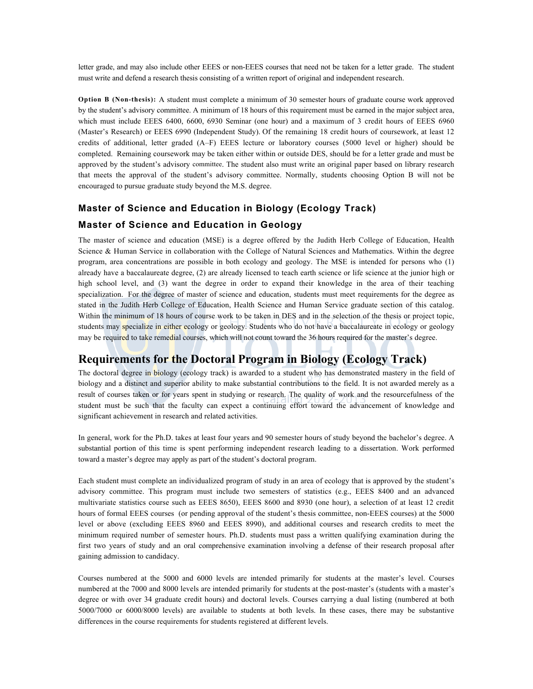letter grade, and may also include other EEES or non-EEES courses that need not be taken for a letter grade. The student must write and defend a research thesis consisting of a written report of original and independent research.

**Option B (Non-thesis):** A student must complete a minimum of 30 semester hours of graduate course work approved by the student's advisory committee. A minimum of 18 hours of this requirement must be earned in the major subject area, which must include EEES 6400, 6600, 6930 Seminar (one hour) and a maximum of 3 credit hours of EEES 6960 (Master's Research) or EEES 6990 (Independent Study). Of the remaining 18 credit hours of coursework, at least 12 credits of additional, letter graded (A–F) EEES lecture or laboratory courses (5000 level or higher) should be completed. Remaining coursework may be taken either within or outside DES, should be for a letter grade and must be approved by the student's advisory committee. The student also must write an original paper based on library research that meets the approval of the student's advisory committee. Normally, students choosing Option B will not be encouraged to pursue graduate study beyond the M.S. degree.

# **Master of Science and Education in Biology (Ecology Track)**

### **Master of Science and Education in Geology**

The master of science and education (MSE) is a degree offered by the Judith Herb College of Education, Health Science & Human Service in collaboration with the College of Natural Sciences and Mathematics. Within the degree program, area concentrations are possible in both ecology and geology. The MSE is intended for persons who (1) already have a baccalaureate degree, (2) are already licensed to teach earth science or life science at the junior high or high school level, and (3) want the degree in order to expand their knowledge in the area of their teaching specialization. For the degree of master of science and education, students must meet requirements for the degree as stated in the Judith Herb College of Education, Health Science and Human Service graduate section of this catalog. Within the minimum of 18 hours of course work to be taken in DES and in the selection of the thesis or project topic, students may specialize in either ecology or geology. Students who do not have a baccalaureate in ecology or geology may be required to take remedial courses, which will not count toward the 36 hours required for the master's degree.

# **Requirements for the Doctoral Program in Biology (Ecology Track)**

The doctoral degree in biology (ecology track) is awarded to a student who has demonstrated mastery in the field of biology and a distinct and superior ability to make substantial contributions to the field. It is not awarded merely as a result of courses taken or for years spent in studying or research. The quality of work and the resourcefulness of the student must be such that the faculty can expect a continuing effort toward the advancement of knowledge and significant achievement in research and related activities.

In general, work for the Ph.D. takes at least four years and 90 semester hours of study beyond the bachelor's degree. A substantial portion of this time is spent performing independent research leading to a dissertation. Work performed toward a master's degree may apply as part of the student's doctoral program.

Each student must complete an individualized program of study in an area of ecology that is approved by the student's advisory committee. This program must include two semesters of statistics (e.g., EEES 8400 and an advanced multivariate statistics course such as EEES 8650), EEES 8600 and 8930 (one hour), a selection of at least 12 credit hours of formal EEES courses (or pending approval of the student's thesis committee, non-EEES courses) at the 5000 level or above (excluding EEES 8960 and EEES 8990), and additional courses and research credits to meet the minimum required number of semester hours. Ph.D. students must pass a written qualifying examination during the first two years of study and an oral comprehensive examination involving a defense of their research proposal after gaining admission to candidacy.

Courses numbered at the 5000 and 6000 levels are intended primarily for students at the master's level. Courses numbered at the 7000 and 8000 levels are intended primarily for students at the post-master's (students with a master's degree or with over 34 graduate credit hours) and doctoral levels. Courses carrying a dual listing (numbered at both 5000/7000 or 6000/8000 levels) are available to students at both levels. In these cases, there may be substantive differences in the course requirements for students registered at different levels.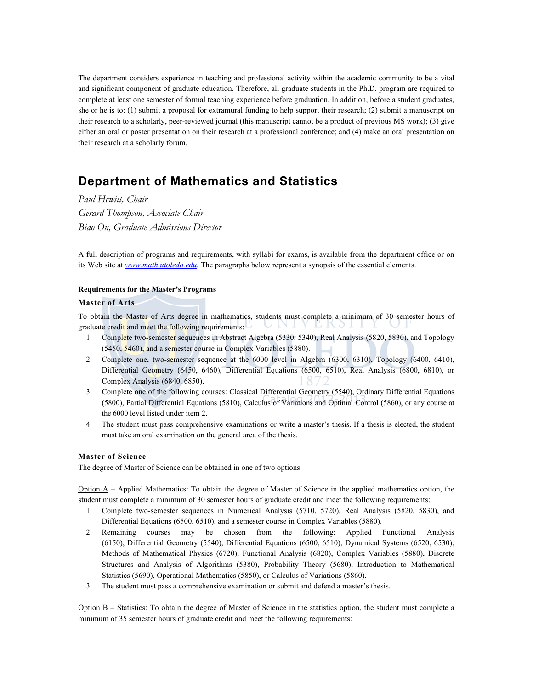The department considers experience in teaching and professional activity within the academic community to be a vital and significant component of graduate education. Therefore, all graduate students in the Ph.D. program are required to complete at least one semester of formal teaching experience before graduation. In addition, before a student graduates, she or he is to: (1) submit a proposal for extramural funding to help support their research; (2) submit a manuscript on their research to a scholarly, peer-reviewed journal (this manuscript cannot be a product of previous MS work); (3) give either an oral or poster presentation on their research at a professional conference; and (4) make an oral presentation on their research at a scholarly forum.

# **Department of Mathematics and Statistics**

*Paul Hewitt, Chair Gerard Thompson, Associate Chair Biao Ou, Graduate Admissions Director*

A full description of programs and requirements, with syllabi for exams, is available from the department office or on its Web site at *www.math.utoledo.edu.* The paragraphs below represent a synopsis of the essential elements.

#### **Requirements for the Master's Programs**

#### **Master of Arts**

To obtain the Master of Arts degree in mathematics, students must complete a minimum of 30 semester hours of UNI L K 3 1 1 graduate credit and meet the following requirements:

- 1. Complete two-semester sequences in Abstract Algebra (5330, 5340), Real Analysis (5820, 5830), and Topology (5450, 5460), and a semester course in Complex Variables (5880).
- 2. Complete one, two-semester sequence at the 6000 level in Algebra (6300, 6310), Topology (6400, 6410), Differential Geometry (6450, 6460), Differential Equations (6500, 6510), Real Analysis (6800, 6810), or Complex Analysis (6840, 6850).
- 3. Complete one of the following courses: Classical Differential Geometry (5540), Ordinary Differential Equations (5800), Partial Differential Equations (5810), Calculus of Variations and Optimal Control (5860), or any course at the 6000 level listed under item 2.
- 4. The student must pass comprehensive examinations or write a master's thesis. If a thesis is elected, the student must take an oral examination on the general area of the thesis.

#### **Master of Science**

The degree of Master of Science can be obtained in one of two options.

Option  $A$  – Applied Mathematics: To obtain the degree of Master of Science in the applied mathematics option, the student must complete a minimum of 30 semester hours of graduate credit and meet the following requirements:

- 1. Complete two-semester sequences in Numerical Analysis (5710, 5720), Real Analysis (5820, 5830), and Differential Equations (6500, 6510), and a semester course in Complex Variables (5880).
- 2. Remaining courses may be chosen from the following: Applied Functional Analysis (6150), Differential Geometry (5540), Differential Equations (6500, 6510), Dynamical Systems (6520, 6530), Methods of Mathematical Physics (6720), Functional Analysis (6820), Complex Variables (5880), Discrete Structures and Analysis of Algorithms (5380), Probability Theory (5680), Introduction to Mathematical Statistics (5690), Operational Mathematics (5850), or Calculus of Variations (5860).
- 3. The student must pass a comprehensive examination or submit and defend a master's thesis.

 $Option B - Statistics: To obtain the degree of Master of Science in the statistics option, the student must complete a$ minimum of 35 semester hours of graduate credit and meet the following requirements: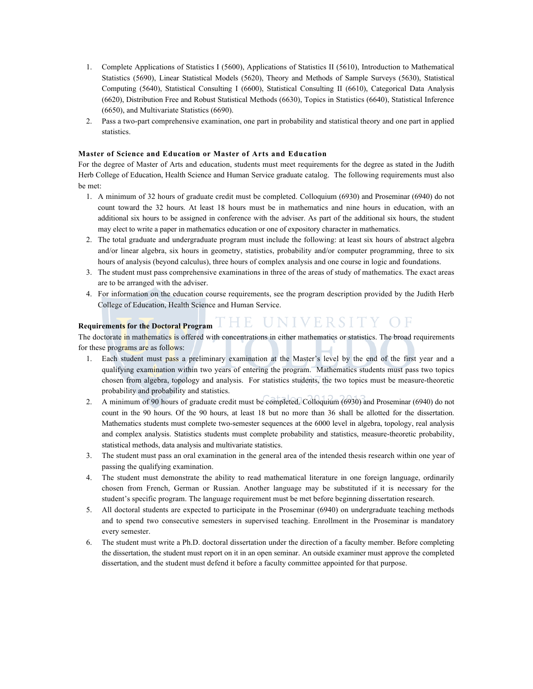- 1. Complete Applications of Statistics I (5600), Applications of Statistics II (5610), Introduction to Mathematical Statistics (5690), Linear Statistical Models (5620), Theory and Methods of Sample Surveys (5630), Statistical Computing (5640), Statistical Consulting I (6600), Statistical Consulting II (6610), Categorical Data Analysis (6620), Distribution Free and Robust Statistical Methods (6630), Topics in Statistics (6640), Statistical Inference (6650), and Multivariate Statistics (6690).
- 2. Pass a two-part comprehensive examination, one part in probability and statistical theory and one part in applied statistics.

#### **Master of Science and Education or Master of Arts and Education**

For the degree of Master of Arts and education, students must meet requirements for the degree as stated in the Judith Herb College of Education, Health Science and Human Service graduate catalog. The following requirements must also be met:

- 1. A minimum of 32 hours of graduate credit must be completed. Colloquium (6930) and Proseminar (6940) do not count toward the 32 hours. At least 18 hours must be in mathematics and nine hours in education, with an additional six hours to be assigned in conference with the adviser. As part of the additional six hours, the student may elect to write a paper in mathematics education or one of expository character in mathematics.
- 2. The total graduate and undergraduate program must include the following: at least six hours of abstract algebra and/or linear algebra, six hours in geometry, statistics, probability and/or computer programming, three to six hours of analysis (beyond calculus), three hours of complex analysis and one course in logic and foundations.
- 3. The student must pass comprehensive examinations in three of the areas of study of mathematics. The exact areas are to be arranged with the adviser.
- 4. For information on the education course requirements, see the program description provided by the Judith Herb College of Education, Health Science and Human Service.

# **Requirements for the Doctoral Program**

The doctorate in mathematics is offered with concentrations in either mathematics or statistics. The broad requirements for these programs are as follows:

- 1. Each student must pass a preliminary examination at the Master's level by the end of the first year and a qualifying examination within two years of entering the program. Mathematics students must pass two topics chosen from algebra, topology and analysis. For statistics students, the two topics must be measure-theoretic probability and probability and statistics.
- 2. A minimum of 90 hours of graduate credit must be completed. Colloquium (6930) and Proseminar (6940) do not count in the 90 hours. Of the 90 hours, at least 18 but no more than 36 shall be allotted for the dissertation. Mathematics students must complete two-semester sequences at the 6000 level in algebra, topology, real analysis and complex analysis. Statistics students must complete probability and statistics, measure-theoretic probability, statistical methods, data analysis and multivariate statistics.
- 3. The student must pass an oral examination in the general area of the intended thesis research within one year of passing the qualifying examination.
- 4. The student must demonstrate the ability to read mathematical literature in one foreign language, ordinarily chosen from French, German or Russian. Another language may be substituted if it is necessary for the student's specific program. The language requirement must be met before beginning dissertation research.
- 5. All doctoral students are expected to participate in the Proseminar (6940) on undergraduate teaching methods and to spend two consecutive semesters in supervised teaching. Enrollment in the Proseminar is mandatory every semester.
- 6. The student must write a Ph.D. doctoral dissertation under the direction of a faculty member. Before completing the dissertation, the student must report on it in an open seminar. An outside examiner must approve the completed dissertation, and the student must defend it before a faculty committee appointed for that purpose.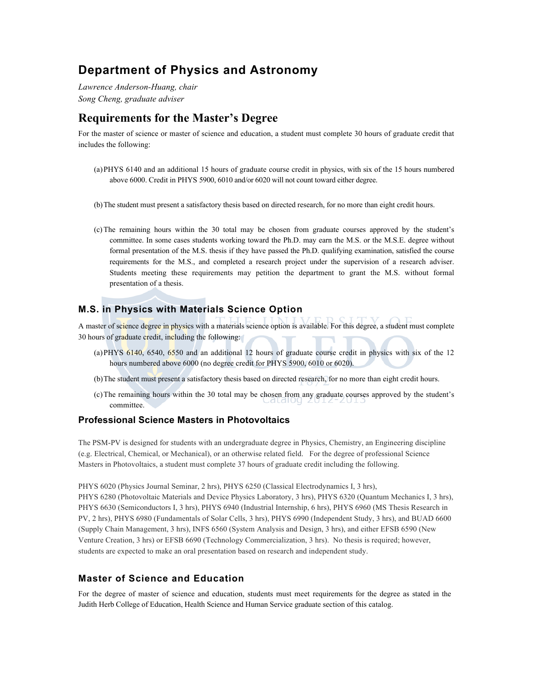# **Department of Physics and Astronomy**

*Lawrence Anderson-Huang, chair Song Cheng, graduate adviser*

# **Requirements for the Master's Degree**

For the master of science or master of science and education, a student must complete 30 hours of graduate credit that includes the following:

- (a)PHYS 6140 and an additional 15 hours of graduate course credit in physics, with six of the 15 hours numbered above 6000. Credit in PHYS 5900, 6010 and/or 6020 will not count toward either degree.
- (b)The student must present a satisfactory thesis based on directed research, for no more than eight credit hours.
- (c)The remaining hours within the 30 total may be chosen from graduate courses approved by the student's committee. In some cases students working toward the Ph.D. may earn the M.S. or the M.S.E. degree without formal presentation of the M.S. thesis if they have passed the Ph.D. qualifying examination, satisfied the course requirements for the M.S., and completed a research project under the supervision of a research adviser. Students meeting these requirements may petition the department to grant the M.S. without formal presentation of a thesis.

# **M.S. in Physics with Materials Science Option**

A master of science degree in physics with a materials science option is available. For this degree, a student must complete 30 hours of graduate credit, including the following:

- (a)PHYS 6140, 6540, 6550 and an additional 12 hours of graduate course credit in physics with six of the 12 hours numbered above 6000 (no degree credit for PHYS 5900, 6010 or 6020).
- (b)The student must present a satisfactory thesis based on directed research, for no more than eight credit hours.
- (c)The remaining hours within the 30 total may be chosen from any graduate courses approved by the student's committee.

#### **Professional Science Masters in Photovoltaics**

The PSM-PV is designed for students with an undergraduate degree in Physics, Chemistry, an Engineering discipline (e.g. Electrical, Chemical, or Mechanical), or an otherwise related field. For the degree of professional Science Masters in Photovoltaics, a student must complete 37 hours of graduate credit including the following.

PHYS 6020 (Physics Journal Seminar, 2 hrs), PHYS 6250 (Classical Electrodynamics I, 3 hrs), PHYS 6280 (Photovoltaic Materials and Device Physics Laboratory, 3 hrs), PHYS 6320 (Quantum Mechanics I, 3 hrs),

PHYS 6630 (Semiconductors I, 3 hrs), PHYS 6940 (Industrial Internship, 6 hrs), PHYS 6960 (MS Thesis Research in PV, 2 hrs), PHYS 6980 (Fundamentals of Solar Cells, 3 hrs), PHYS 6990 (Independent Study, 3 hrs), and BUAD 6600 (Supply Chain Management, 3 hrs), INFS 6560 (System Analysis and Design, 3 hrs), and either EFSB 6590 (New Venture Creation, 3 hrs) or EFSB 6690 (Technology Commercialization, 3 hrs). No thesis is required; however, students are expected to make an oral presentation based on research and independent study.

### **Master of Science and Education**

For the degree of master of science and education, students must meet requirements for the degree as stated in the Judith Herb College of Education, Health Science and Human Service graduate section of this catalog.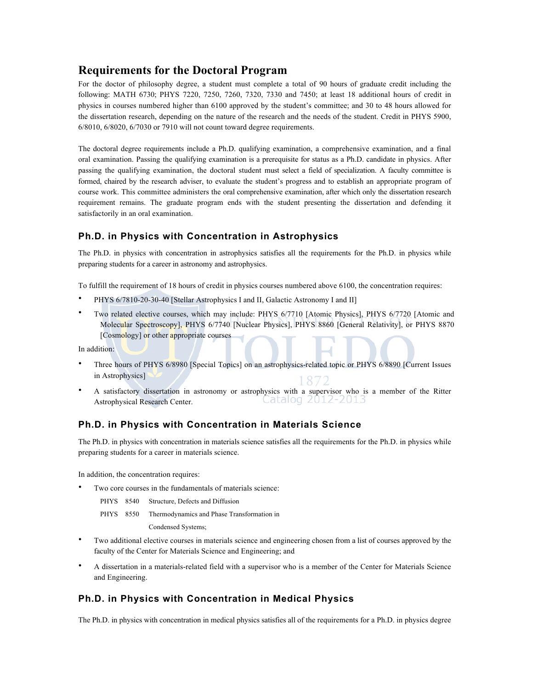# **Requirements for the Doctoral Program**

For the doctor of philosophy degree, a student must complete a total of 90 hours of graduate credit including the following: MATH 6730; PHYS 7220, 7250, 7260, 7320, 7330 and 7450; at least 18 additional hours of credit in physics in courses numbered higher than 6100 approved by the student's committee; and 30 to 48 hours allowed for the dissertation research, depending on the nature of the research and the needs of the student. Credit in PHYS 5900, 6/8010, 6/8020, 6/7030 or 7910 will not count toward degree requirements.

The doctoral degree requirements include a Ph.D. qualifying examination, a comprehensive examination, and a final oral examination. Passing the qualifying examination is a prerequisite for status as a Ph.D. candidate in physics. After passing the qualifying examination, the doctoral student must select a field of specialization. A faculty committee is formed, chaired by the research adviser, to evaluate the student's progress and to establish an appropriate program of course work. This committee administers the oral comprehensive examination, after which only the dissertation research requirement remains. The graduate program ends with the student presenting the dissertation and defending it satisfactorily in an oral examination.

# **Ph.D. in Physics with Concentration in Astrophysics**

The Ph.D. in physics with concentration in astrophysics satisfies all the requirements for the Ph.D. in physics while preparing students for a career in astronomy and astrophysics.

To fulfill the requirement of 18 hours of credit in physics courses numbered above 6100, the concentration requires:

- PHYS 6/7810-20-30-40 [Stellar Astrophysics I and II, Galactic Astronomy I and II]
- Two related elective courses, which may include: PHYS 6/7710 [Atomic Physics], PHYS 6/7720 [Atomic and Molecular Spectroscopy], PHYS 6/7740 [Nuclear Physics], PHYS 8860 [General Relativity], or PHYS 8870 [Cosmology] or other appropriate courses

In addition:

- Three hours of PHYS 6/8980 [Special Topics] on an astrophysics-related topic or PHYS 6/8890 [Current Issues in Astrophysics]
- A satisfactory dissertation in astronomy or astrophysics with a supervisor who is a member of the Ritter Catalog 2012-2013 Astrophysical Research Center.

### **Ph.D. in Physics with Concentration in Materials Science**

The Ph.D. in physics with concentration in materials science satisfies all the requirements for the Ph.D. in physics while preparing students for a career in materials science.

In addition, the concentration requires:

Two core courses in the fundamentals of materials science:

| PHYS 8540 |  | Structure, Defects and Diffusion |
|-----------|--|----------------------------------|
|-----------|--|----------------------------------|

PHYS 8550 Thermodynamics and Phase Transformation in

Condensed Systems;

- Two additional elective courses in materials science and engineering chosen from a list of courses approved by the faculty of the Center for Materials Science and Engineering; and
- A dissertation in a materials-related field with a supervisor who is a member of the Center for Materials Science and Engineering.

### **Ph.D. in Physics with Concentration in Medical Physics**

The Ph.D. in physics with concentration in medical physics satisfies all of the requirements for a Ph.D. in physics degree